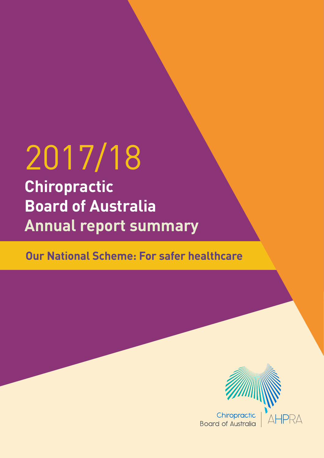# 2017/18

**Chiropractic Board of Australia Annual report summary**

**Our National Scheme: For safer healthcare**

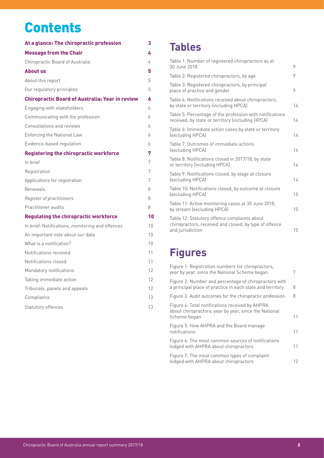## **Contents**

| At a glance: The chiropractic profession               | 3               |
|--------------------------------------------------------|-----------------|
| <b>Message from the Chair</b>                          | L.              |
| Chiropractic Board of Australia                        | 4               |
| <b>About us</b>                                        | 5               |
| About this report                                      | 5               |
| Our regulatory principles                              | 5               |
| <b>Chiropractic Board of Australia: Year in review</b> | 6               |
| Engaging with stakeholders                             | 6               |
| Communicating with the profession                      | 6               |
| <b>Consultations and reviews</b>                       | 6               |
| <b>Enforcing the National Law</b>                      | 6               |
| Evidence-based regulation                              | 6               |
| <b>Registering the chiropractic workforce</b>          | 7               |
| In brief                                               | 7               |
| Registration                                           | 7               |
| Applications for registration                          | 7               |
| Renewals                                               | 8               |
| Register of practitioners                              | 8               |
| Practitioner audits                                    | 8               |
| <b>Regulating the chiropractic workforce</b>           | 10              |
| In brief: Notifications, monitoring and offences       | 10              |
| An important note about our data                       | 10 <sup>1</sup> |
| What is a notification?                                | 10 <sup>1</sup> |
| Notifications received                                 | 11              |
| Notifications closed                                   | 11              |
| Mandatory notifications                                | 12              |
| Taking immediate action                                | 12              |
| Tribunals, panels and appeals                          | 12              |
| Compliance                                             | 13              |
| Statutory offences                                     | 13              |

### **Tables**

| Table 1: Number of registered chiropractors as at<br>30 June 2018                                                          | 9  |
|----------------------------------------------------------------------------------------------------------------------------|----|
| Table 2: Registered chiropractors, by age                                                                                  | 9  |
| Table 3: Registered chiropractors, by principal<br>place of practice and gender                                            | 9  |
| Table 4: Notifications received about chiropractors,<br>by state or territory (including HPCA)                             | 14 |
| Table 5: Percentage of the profession with notifications<br>received, by state or territory (including HPCA)               | 14 |
| Table 6: Immediate action cases by state or territory<br>(excluding HPCA)                                                  | 14 |
| Table 7: Outcomes of immediate actions<br>(excluding HPCA)                                                                 | 14 |
| Table 8: Notifications closed in 2017/18, by state<br>or territory (including HPCA)                                        | 14 |
| Table 9: Notifications closed, by stage at closure<br>(excluding HPCA)                                                     | 14 |
| Table 10: Notifications closed, by outcome at closure<br>(excluding HPCA)                                                  | 15 |
| Table 11: Active monitoring cases at 30 June 2018,<br>by stream (excluding HPCA)                                           | 15 |
| Table 12: Statutory offence complaints about<br>chiropractors, received and closed, by type of offence<br>and jurisdiction | 15 |
|                                                                                                                            |    |

### **Figures**

| Figure 1: Registration numbers for chiropractors,<br>year by year, since the National Scheme began                       | 7  |
|--------------------------------------------------------------------------------------------------------------------------|----|
| Figure 2: Number and percentage of chiropractors with<br>a principal place of practice in each state and territory       | 8  |
| Figure 3: Audit outcomes for the chiropractic profession                                                                 | 8  |
| Figure 4: Total notifications received by AHPRA<br>about chiropractors, year by year, since the National<br>Scheme began | 11 |
| Figure 5: How AHPRA and the Board manage<br>notifications                                                                | 11 |
| Figure 6: The most common sources of notifications<br>lodged with AHPRA about chiropractors                              | 11 |
| Figure 7: The most common types of complaint<br>lodged with AHPRA about chiropractors                                    | 12 |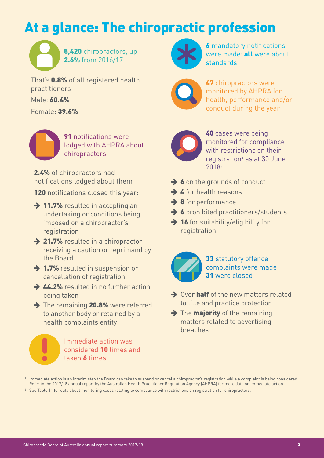# <span id="page-2-0"></span>At a glance: The chiropractic profession

5,420 chiropractors, up 2.6% from 2016/17

That's **0.8%** of all registered health practitioners

Male: 60.4%

Female: 39.6%

**91** notifications were lodged with AHPRA about chiropractors

2.4% of chiropractors had notifications lodged about them

120 notifications closed this year:

- $\rightarrow$  11.7% resulted in accepting an undertaking or conditions being imposed on a chiropractor's registration
- $\rightarrow$  21.7% resulted in a chiropractor receiving a caution or reprimand by the Board
- $\rightarrow$  1.7% resulted in suspension or cancellation of registration
- $\rightarrow$  44.2% resulted in no further action being taken
- $\rightarrow$  The remaining 20.8% were referred to another body or retained by a health complaints entity



#### Immediate action was considered 10 times and taken  $\boldsymbol{b}$  times<sup>1</sup>



**6** mandatory notifications were made: **all** were about standards



47 chiropractors were monitored by AHPRA for health, performance and/or conduct during the year



40 cases were being monitored for compliance with restrictions on their registration<sup>2</sup> as at 30 June 2018:

- $\rightarrow$  6 on the grounds of conduct
- $\rightarrow$  4 for health reasons
- $\rightarrow$  8 for performance
- $\rightarrow$  6 prohibited practitioners/students
- $\rightarrow$  16 for suitability/eligibility for registration

33 statutory offence complaints were made; 31 were closed

- $\rightarrow$  Over half of the new matters related to title and practice protection
- $\rightarrow$  The **majority** of the remaining matters related to advertising breaches

<sup>2</sup> See Table 11 for data about monitoring cases relating to compliance with restrictions on registration for chiropractors.

<sup>1</sup> Immediate action is an interim step the Board can take to suspend or cancel a chiropractor's registration while a complaint is being considered. Refer to the [2017/18 annual report](https://www.ahpra.gov.au/annualreport/2018/) by the Australian Health Practitioner Regulation Agency (AHPRA) for more data on immediate action.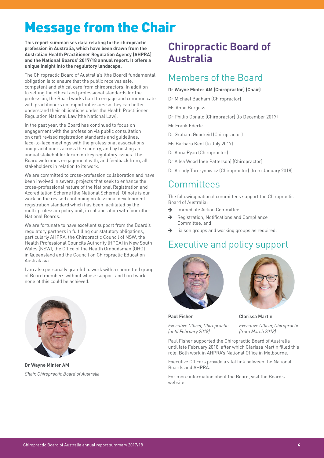# <span id="page-3-0"></span>Message from the Chair

**This report summarises data relating to the chiropractic profession in Australia, which have been drawn from the Australian Health Practitioner Regulation Agency (AHPRA) and the National Boards' 2017/18 annual report. It offers a unique insight into the regulatory landscape.** 

The Chiropractic Board of Australia's (the Board) fundamental obligation is to ensure that the public receives safe, competent and ethical care from chiropractors. In addition to setting the ethical and professional standards for the profession, the Board works hard to engage and communicate with practitioners on important issues so they can better understand their obligations under the Health Practitioner Regulation National Law (the National Law).

In the past year, the Board has continued to focus on engagement with the profession via public consultation on draft revised registration standards and guidelines, face-to-face meetings with the professional associations and practitioners across the country, and by hosting an annual stakeholder forum on key regulatory issues. The Board welcomes engagement with, and feedback from, all stakeholders in relation to its work.

We are committed to cross-profession collaboration and have been involved in several projects that seek to enhance the cross-professional nature of the National Registration and Accreditation Scheme (the National Scheme). Of note is our work on the revised continuing professional development registration standard which has been facilitated by the multi-profession policy unit, in collaboration with four other National Boards.

We are fortunate to have excellent support from the Board's regulatory partners in fulfilling our statutory obligations, particularly AHPRA, the Chiropractic Council of NSW, the Health Professional Councils Authority (HPCA) in New South Wales (NSW), the Office of the Health Ombudsman (OHO) in Queensland and the Council on Chiropractic Education Australasia.

I am also personally grateful to work with a committed group of Board members without whose support and hard work none of this could be achieved.



**Dr Wayne Minter AM** *Chair, Chiropractic Board of Australia*

### **Chiropractic Board of Australia**

### Members of the Board

#### **Dr Wayne Minter AM (Chiropractor) (Chair)**

- Dr Michael Badham (Chiropractor)
- Ms Anne Burgess
- Dr Phillip Donato (Chiropractor) (to December 2017)

Mr Frank Ederle

- Dr Graham Goodreid (Chiropractor)
- Ms Barbara Kent (to July 2017)
- Dr Anna Ryan (Chiropractor)
- Dr Ailsa Wood (nee Patterson) (Chiropractor)
- Dr Arcady Turczynowicz (Chiropractor) (from January 2018)

### Committees

The following national committees support the Chiropractic Board of Australia:

- $\rightarrow$  Immediate Action Committee
- $\rightarrow$  Registration, Notifications and Compliance Committee, and
- liaison groups and working groups as required.

### Executive and policy support





**Paul Fisher**

*Executive Officer, Chiropractic (until February 2018)*

**Clarissa Martin**

*Executive Officer, Chiropractic (from March 2018)*

Paul Fisher supported the Chiropractic Board of Australia until late February 2018, after which Clarissa Martin filled this role. Both work in AHPRA's National Office in Melbourne.

Executive Officers provide a vital link between the National Boards and AHPRA.

For more information about the Board, visit the Board's [website.](https://www.chiropracticboard.gov.au/)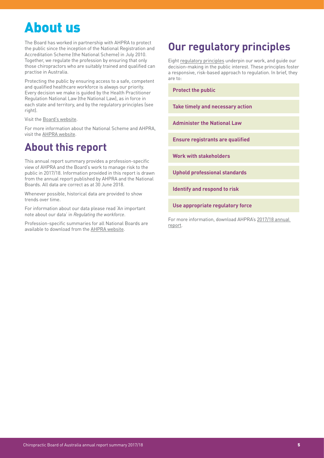# <span id="page-4-0"></span>About us

The Board has worked in partnership with AHPRA to protect the public since the inception of the National Registration and Accreditation Scheme (the National Scheme) in July 2010. Together, we regulate the profession by ensuring that only those chiropractors who are suitably trained and qualified can practise in Australia.

Protecting the public by ensuring access to a safe, competent and qualified healthcare workforce is always our priority. Every decision we make is guided by the Health Practitioner Regulation National Law (the National Law), as in force in each state and territory, and by the regulatory principles (see right).

Visit the [Board's website](https://www.chiropracticboard.gov.au/).

For more information about the National Scheme and AHPRA, visit the [AHPRA website](https://www.ahpra.gov.au/about-ahpra/).

### **About this report**

This annual report summary provides a profession-specific view of AHPRA and the Board's work to manage risk to the public in 2017/18. Information provided in this report is drawn from the annual report published by AHPRA and the National Boards. All data are correct as at 30 June 2018.

Whenever possible, historical data are provided to show trends over time.

For information about our data please read ['An important](#page-9-1)  [note about our data](#page-9-1)' in *Regulating the workforce*.

Profession-specific summaries for all National Boards are available to download from the [AHPRA website](http://www.ahpra.gov.au/annualreport/2018).

### **Our regulatory principles**

Eight [regulatory principles](http://www.ahpra.gov.au/About-AHPRA/Regulatory-principles) underpin our work, and guide our decision-making in the public interest. These principles foster a responsive, risk-based approach to regulation. In brief, they are to:

**Protect the public**

**Take timely and necessary action**

**Administer the National Law**

**Ensure registrants are qualified** 

**Work with stakeholders**

**Uphold professional standards** 

**Identify and respond to risk**

**Use appropriate regulatory force**

For more information, download AHPRA's [2017/18 annual](http://www.ahpra.gov.au/annualreport/2018)  [report](http://www.ahpra.gov.au/annualreport/2018).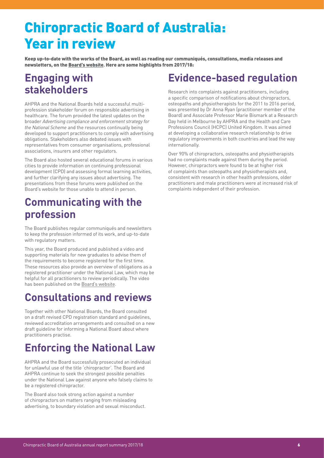# <span id="page-5-0"></span>Chiropractic Board of Australia: Year in review

Keep up-to-date with the works of the Board, as well as reading our communiqués, consultations, media releases and newsletters, on the [Board's website](http://www.chiropracticboard.gov.au/News)**.** Here are some highlights from 2017/18:

### **Engaging with stakeholders**

AHPRA and the National Boards held a successful multiprofession stakeholder forum on responsible advertising in healthcare. The forum provided the latest updates on the broader *Advertising compliance and enforcement strategy for the National Scheme* and the resources continually being developed to support practitioners to comply with advertising obligations. Stakeholders also debated issues with representatives from consumer organisations, professional associations, insurers and other regulators.

The Board also hosted several educational forums in various cities to provide information on continuing professional development (CPD) and assessing formal learning activities, and further clarifying any issues about advertising. The presentations from these forums were published on the Board's website for those unable to attend in person.

### **Communicating with the profession**

The Board publishes regular communiqués and newsletters to keep the profession informed of its work, and up-to-date with regulatory matters.

This year, the Board produced and published a video and supporting materials for new graduates to advise them of the requirements to become registered for the first time. These resources also provide an overview of obligations as a registered practitioner under the National Law, which may be helpful for all practitioners to review periodically. The video has been published on the [Board's website](https://www.chiropracticboard.gov.au/Registration/overview.aspx).

### **Consultations and reviews**

Together with other National Boards, the Board consulted on a draft revised CPD registration standard and guidelines, reviewed accreditation arrangements and consulted on a new draft guideline for informing a National Board about where practitioners practise.

### **Enforcing the National Law**

AHPRA and the Board successfully prosecuted an individual for unlawful use of the title 'chiropractor'. The Board and AHPRA continue to seek the strongest possible penalties under the National Law against anyone who falsely claims to be a registered chiropractor.

The Board also took strong action against a number of chiropractors on matters ranging from misleading advertising, to boundary violation and sexual misconduct.

### **Evidence-based regulation**

Research into complaints against practitioners, including a specific comparison of notifications about chiropractors, osteopaths and physiotherapists for the 2011 to 2016 period, was presented by Dr Anna Ryan (practitioner member of the Board) and Associate Professor Marie Bismark at a Research Day held in Melbourne by AHPRA and the Health and Care Professions Council (HCPC) United Kingdom. It was aimed at developing a collaborative research relationship to drive regulatory improvements in both countries and lead the way internationally.

Over 90% of chiropractors, osteopaths and physiotherapists had no complaints made against them during the period. However, chiropractors were found to be at higher risk of complaints than osteopaths and physiotherapists and, consistent with research in other health professions, older practitioners and male practitioners were at increased risk of complaints independent of their profession.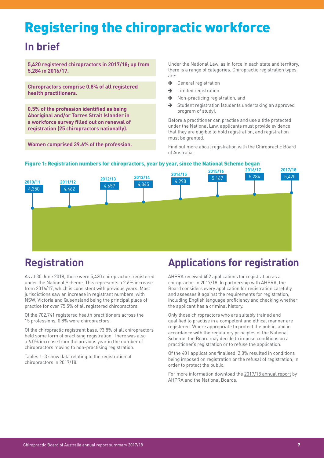# <span id="page-6-0"></span>Registering the chiropractic workforce

### **In brief**

**5,420 registered chiropractors in 2017/18; up from 5,284 in 2016/17.** 

**Chiropractors comprise 0.8% of all registered health practitioners.**

**0.5% of the profession identified as being Aboriginal and/or Torres Strait Islander in a workforce survey filled out on renewal of registration (25 chiropractors nationally).**

**Women comprised 39.6% of the profession.**

Under the National Law, as in force in each state and territory, there is a range of categories. Chiropractic registration types are:

- $\rightarrow$  General registration
- $\rightarrow$  Limited registration
- $\rightarrow$  Non-practicing registration, and
- $\rightarrow$  Student registration (students undertaking an approved program of study).

Before a practitioner can practise and use a title protected under the National Law, applicants must provide evidence that they are eligible to hold registration, and registration must be granted.

Find out more about [registration](https://www.chiropracticboard.gov.au/Registration.aspx) with the Chiropractic Board of Australia.



#### Figure 1: Registration numbers for chiropractors, year by year, since the National Scheme began

### **Registration**

As at 30 June 2018, there were 5,420 chiropractors registered under the National Scheme. This represents a 2.6% increase from 2016/17, which is consistent with previous years. Most jurisdictions saw an increase in registrant numbers, with NSW, Victoria and Queensland being the principal place of practice for over 75.5% of all registered chiropractors.

Of the 702,741 registered health practitioners across the 15 professions, 0.8% were chiropractors.

Of the chiropractic registrant base, 93.8% of all chiropractors held some form of practising registration. There was also a 6.0% increase from the previous year in the number of chiropractors moving to non-practising registration.

Tables 1–3 show data relating to the registration of chiropractors in 2017/18.

### **Applications for registration**

AHPRA received 402 applications for registration as a chiropractor in 2017/18. In partnership with AHPRA, the Board considers every application for registration carefully and assesses it against the requirements for registration, including English language proficiency and checking whether the applicant has a criminal history.

Only those chiropractors who are suitably trained and qualified to practise in a competent and ethical manner are registered. Where appropriate to protect the public, and in accordance with the [regulatory principles](https://www.ahpra.gov.au/about-ahpra/regulatory-principles) of the National Scheme, the Board may decide to impose conditions on a practitioner's registration or to refuse the application.

Of the 401 applications finalised, 2.0% resulted in conditions being imposed on registration or the refusal of registration, in order to protect the public.

For more information download the [2017/18 annual report](https://www.ahpra.gov.au/annualreport/2018/) by AHPRA and the National Boards.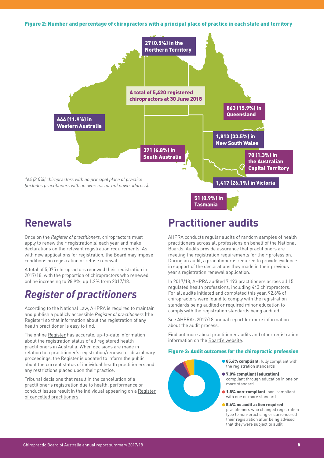<span id="page-7-0"></span>Figure 2: Number and percentage of chiropractors with a principal place of practice in each state and territory



### **Renewals**

Once on the *Register of practitioners*, chiropractors must apply to renew their registration(s) each year and make declarations on the relevant registration requirements. As with new applications for registration, the Board may impose conditions on registration or refuse renewal.

A total of 5,075 chiropractors renewed their registration in 2017/18, with the proportion of chiropractors who renewed online increasing to 98.9%; up 1.2% from 2017/18.

### *Register of practitioners*

According to the National Law, AHPRA is required to maintain and publish a publicly accessible *Register of practitioners* (the Register) so that information about the registration of any health practitioner is easy to find.

The online [Register](https://www.ahpra.gov.au/registration/registers-of-practitioners.aspx) has accurate, up-to-date information about the registration status of all registered health practitioners in Australia. When decisions are made in relation to a practitioner's registration/renewal or disciplinary proceedings, the [Register](https://www.ahpra.gov.au/registration/registers-of-practitioners.aspx) is updated to inform the public about the current status of individual health practitioners and any restrictions placed upon their practice.

Tribunal decisions that result in the cancellation of a practitioner's registration due to health, performance or conduct issues result in the individual appearing on a [Register](https://www.ahpra.gov.au/registration/registers-of-practitioners/cancelled-health-practitioners.aspx) [of cancelled practitioners](https://www.ahpra.gov.au/registration/registers-of-practitioners/cancelled-health-practitioners.aspx).

### **Practitioner audits**

AHPRA conducts regular audits of random samples of health practitioners across all professions on behalf of the National Boards. Audits provide assurance that practitioners are meeting the registration requirements for their profession. During an audit, a practitioner is required to provide evidence in support of the declarations they made in their previous year's registration renewal application.

In 2017/18, AHPRA audited 7,193 practitioners across all 15 regulated health professions, including 443 chiropractors. For all audits initiated and completed this year, 92.6% of chiropractors were found to comply with the registration standards being audited or required minor education to comply with the registration standards being audited.

See AHPRA's [2017/18 annual report](https://www.ahpra.gov.au/annualreport/2018/) for more information about the audit process.

Find out more about practitioner audits and other registration information on the [Board's website.](https://www.chiropracticboard.gov.au/Registration.aspx)

#### Figure 3: Audit outcomes for the chiropractic profession

- 
- **85.6% compliant:** fully compliant with the registration standards
- 7.0% compliant (education): compliant through education in one or more standard
- **1.8% non-compliant: non-compliant** with one or more standard
- $\bullet$  5.6% no audit action required: practitioners who changed registration type to non-practising or surrendered their registration after being advised that they were subject to audit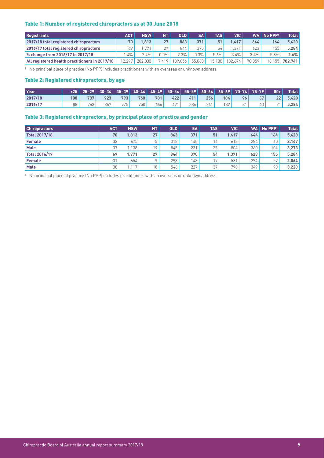#### <span id="page-8-0"></span>Table 1: Number of registered chiropractors as at 30 June 2018

| <b>Registrants</b>                             | <b>ACT</b> | <b>NSW</b> | NΤ      | QLD     | <b>SA</b> | <b>TAS</b>          | VIC     | <b>WA</b> | No PPP <sup>1</sup> | <b>Total</b>   |
|------------------------------------------------|------------|------------|---------|---------|-----------|---------------------|---------|-----------|---------------------|----------------|
| 2017/18 total registered chiropractors         |            | 1.813      | 27      | 863     | 371       | 51                  | 1.417   | 644       | 164                 | 5.420          |
| 2016/17 total registered chiropractors         |            | 771        | 27      | 844     | 370       | 54                  | .371    | 623       | 155                 | 5.284          |
| % change from 2016/17 to 2017/18               | $.4\%$     | $2.4\%$    | $0.0\%$ | 2.3%    | 0.3%      | $-5.6%$             | 3.4%    | 3.4%      | 5.8%                | 2.6%           |
| All registered health practitioners in 2017/18 | 12.2971    | 202.033    | 7.419   | 139.056 | 55.060    | 15.188 <sub>1</sub> | 182.674 | 70.859    |                     | 18,155 702,741 |

1 No principal place of practice (No PPP) includes practitioners with an overseas or unknown address.

#### Table 2: Registered chiropractors, by age

| l Year  |     |     | <u> </u> <25      25-29      30-34      35-39      40-44      45-49      50-54      55-59      60-64      65-69      70-74      75-79 |     |     |     |     |     |     |     |                |    | $80+$ | <b>Total</b> |
|---------|-----|-----|---------------------------------------------------------------------------------------------------------------------------------------|-----|-----|-----|-----|-----|-----|-----|----------------|----|-------|--------------|
| 2017/18 | 108 | 707 | 923                                                                                                                                   | 793 | 760 | 701 | 422 | 411 | 256 | 184 | 96             | 37 | 22    | 5.420        |
| 2016/17 | 88  | 763 | 867                                                                                                                                   | 775 | 750 | 666 | 421 | 386 | 241 | 182 | O <sub>1</sub> | 43 |       | 5.284        |

#### Table 3: Registered chiropractors, by principal place of practice and gender

| <b>Chiropractors</b> | ACT. | <b>NSW</b> | <b>NT</b> | QLD | <b>SA</b> | <b>TAS</b>      | <b>VIC</b> | WA l | No PPP <sup>1</sup> | <b>Total</b> |
|----------------------|------|------------|-----------|-----|-----------|-----------------|------------|------|---------------------|--------------|
| <b>Total 2017/18</b> | 70   | 1,813      | 27        | 863 | 371       | 51              | 1.417      | 644  | 164.                | 5,420        |
| <b>Female</b>        | 33   | 675        | 8         | 318 | 140       | 16              | 613        | 284  | 60                  | 2,147        |
| <b>Male</b>          | 37   | 1.138      | 19        | 545 | 231       | 35              | 804        | 360  | 104                 | 3,273        |
| <b>Total 2016/17</b> | 69   | 1.771      | 27        | 844 | 370       | 54              | 1.371      | 623  | 155                 | 5.284        |
| <b>Female</b>        | 31   | 654        | $\circ$   | 298 | 143       | 17 <sub>1</sub> | 581        | 274  | 57                  | 2,064        |
| <b>Male</b>          | 38   | 1.117      | 18        | 546 | 227       | 37              | 790        | 349  | 98                  | 3,220        |

1 No principal place of practice (No PPP) includes practitioners with an overseas or unknown address.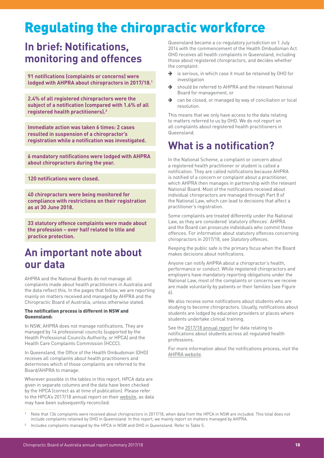# <span id="page-9-0"></span>Regulating the chiropractic workforce

### **In brief: Notifications, monitoring and offences**

**91 notifications (complaints or concerns) were lodged with AHPRA about chiropractors in 2017/18.1**

**2.4% of all registered chiropractors were the subject of a notification (compared with 1.6% of all registered health practitioners).2**

**Immediate action was taken 6 times: 2 cases resulted in suspension of a chiropractor's registration while a notification was investigated.**

**6 mandatory notifications were lodged with AHPRA about chiropractors during the year.**

**120 notifications were closed.**

**40 chiropractors were being monitored for compliance with restrictions on their registration as at 30 June 2018.**

**33 statutory offence complaints were made about the profession – over half related to title and practice protection.**

### <span id="page-9-1"></span>**An important note about our data**

AHPRA and the National Boards do not manage all complaints made about health practitioners in Australia and the data reflect this. In the pages that follow, we are reporting mainly on matters received and managed by AHPRA and the Chiropractic Board of Australia, unless otherwise stated.

#### The notification process is different in NSW and Queensland:

In NSW, AHPRA does not manage notifications. They are managed by 14 professional councils (supported by the Health Professional Councils Authority, or HPCA) and the Health Care Complaints Commission (HCCC).

In Queensland, the Office of the Health Ombudsman (OHO) receives all complaints about health practitioners and determines which of those complaints are referred to the Board/AHPRA to manage.

Wherever possible in the tables in this report, HPCA data are given in separate columns and the data have been checked by the HPCA (correct as at time of publication). Please refer to the HPCA's 2017/18 annual report on their [website](https://www.hpca.nsw.gov.au/), as data may have been subsequently reconciled.

Queensland became a co-regulatory jurisdiction on 1 July 2014 with the commencement of the Health Ombudsman Act. OHO receives all health complaints in Queensland, including those about registered chiropractors, and decides whether the complaint:

- $\rightarrow$  is serious, in which case it must be retained by OHO for investigation
- $\rightarrow$  should be referred to AHPRA and the relevant National Board for management, or
- $\rightarrow$  can be closed, or managed by way of conciliation or local resolution.

This means that we only have access to the data relating to matters referred to us by OHO. We do not report on all complaints about registered health practitioners in Queensland.

### **What is a notification?**

In the National Scheme, a complaint or concern about a registered health practitioner or student is called a notification. They are called notifications because AHPRA is notified of a concern or complaint about a practitioner, which AHPRA then manages in partnership with the relevant National Board. Most of the notifications received about individual chiropractors are managed through Part 8 of the National Law, which can lead to decisions that affect a practitioner's registration.

Some complaints are treated differently under the National Law, as they are considered 'statutory offences'. AHPRA and the Board can prosecute individuals who commit these offences. For information about statutory offences concerning chiropractors in 2017/18, see *Statutory offences*.

Keeping the public safe is the primary focus when the Board makes decisions about notifications.

Anyone can notify AHPRA about a chiropractor's health, performance or conduct. While registered chiropractors and employers have mandatory reporting obligations under the National Law, most of the complaints or concerns we receive are made voluntarily by patients or their families (see Figure 6).

We also receive some notifications about students who are studying to become chiropractors. Usually, notifications about students are lodged by education providers or places where students undertake clinical training.

See the [2017/18 annual report](https://www.ahpra.gov.au/annualreport/2018/) for data relating to notifications about students across all regulated health professions.

For more information about the notifications process, visit the [AHPRA website](http://www.ahpra.gov.au/notifications).

Note that 136 complaints were received about chiropractors in 2017/18, when data from the HPCA in NSW are included. This total does not include complaints retained by OHO in Queensland. In this report, we mainly report on matters managed by AHPRA.

<sup>&</sup>lt;sup>2</sup> Includes complaints managed by the HPCA in NSW and OHO in Queensland. Refer to Table 5.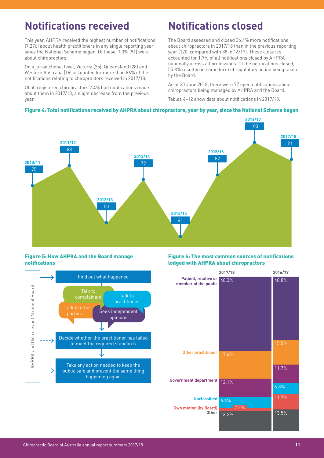### <span id="page-10-0"></span>**Notifications received**

This year, AHPRA received the highest number of notifications (7,276) about health practitioners in any single reporting year since the National Scheme began. Of these, 1.3% (91) were about chiropractors.

On a jurisdictional level, Victoria (35), Queensland (28) and Western Australia (16) accounted for more than 86% of the notifications relating to chiropractors received in 2017/18.

Of all registered chiropractors 2.4% had notifications made about them in 2017/18, a slight decrease from the previous year.

### **Notifications closed**

The Board assessed and closed 36.4% more notifications about chiropractors in 2017/18 than in the previous reporting year (120, compared with 88 in 16/17). These closures accounted for 1.7% of all notifications closed by AHPRA nationally across all professions. Of the notifications closed, 55.8% resulted in some form of regulatory action being taken by the Board.

As at 30 June 2018, there were 77 open notifications about chiropractors being managed by AHPRA and the Board.

Tables 4–12 show data about notifications in 2017/18.

#### Figure 4: Total notifications received by AHPRA about chiropractors, year by year, since the National Scheme began



#### Figure 5: How AHPRA and the Board manage notifications



#### Figure 6: The most common sources of notifications lodged with AHPRA about chiropractors

|                                                     | 2017/18      | 2016/17        |
|-----------------------------------------------------|--------------|----------------|
| Patient, relative or<br>member of the public        | 48.3%        | 40.8%          |
| <b>Other practitioner</b>                           | 17.6%        | 15.5%<br>11.7% |
| <b>Government department</b>                        | 12.1%        | 6.8%           |
| <b>Unclassified</b><br><b>Own motion (by Board)</b> | 6.6%<br>2.2% | 11.7%          |
| Other                                               | 13.2%        | 13.5%          |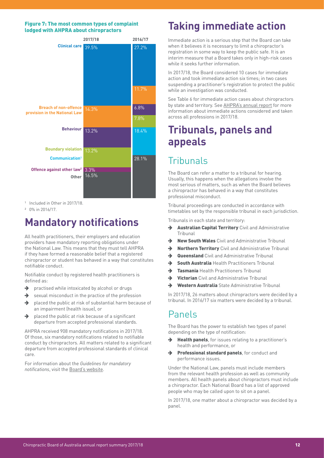#### <span id="page-11-0"></span>Figure 7: The most common types of complaint lodged with AHPRA about chiropractors



<sup>1</sup> Included in Other in 2017/18.

2 0% in 2016/17.

### **Mandatory notifications**

All health practitioners, their employers and education providers have mandatory reporting obligations under the National Law. This means that they must tell AHPRA if they have formed a reasonable belief that a registered chiropractor or student has behaved in a way that constitutes notifiable conduct.

Notifiable conduct by registered health practitioners is defined as:

- $\rightarrow$  practised while intoxicated by alcohol or drugs
- $\rightarrow$  sexual misconduct in the practice of the profession
- $\rightarrow$  placed the public at risk of substantial harm because of an impairment (health issue), or
- $\rightarrow$  placed the public at risk because of a significant departure from accepted professional standards.

AHPRA received 908 mandatory notifications in 2017/18. Of those, six mandatory notifications related to notifiable conduct by chiropractors. All matters related to a significant departure from accepted professional standards of clinical care.

For information about the *Guidelines for mandatory notifications*, visit the [Board's website](http://www.chiropracticboard.gov.au/Codes-guidelines/Guidelines-for-mandatory-notifications.aspx).

### **Taking immediate action**

Immediate action is a serious step that the Board can take when it believes it is necessary to limit a chiropractor's registration in some way to keep the public safe. It is an interim measure that a Board takes only in high-risk cases while it seeks further information

In 2017/18, the Board considered 10 cases for immediate action and took immediate action six times; in two cases suspending a practitioner's registration to protect the public while an investigation was conducted.

See Table 6 for immediate action cases about chiropractors by state and territory. See [AHPRA's annual report](https://www.ahpra.gov.au/annualreport/2018/) for more information about immediate actions considered and taken across all professions in 2017/18.

### **Tribunals, panels and appeals**

### Tribunals

The Board can refer a matter to a tribunal for hearing. Usually, this happens when the allegations involve the most serious of matters, such as when the Board believes a chiropractor has behaved in a way that constitutes professional misconduct.

Tribunal proceedings are conducted in accordance with timetables set by the responsible tribunal in each jurisdiction.

Tribunals in each state and territory:

- $\rightarrow$  Australian Capital Territory Civil and Administrative Tribunal
- → New South Wales Civil and Administrative Tribunal
- $\rightarrow$  Northern Territory Civil and Administrative Tribunal
- $\rightarrow$  Queensland Civil and Administrative Tribunal
- $\rightarrow$  South Australia Health Practitioners Tribunal
- **Tasmania** Health Practitioners Tribunal
- $\rightarrow$  Victorian Civil and Administrative Tribunal
- $\rightarrow$  Western Australia State Administrative Tribunal

In 2017/18, 26 matters about chiropractors were decided by a tribunal. In 2016/17 six matters were decided by a tribunal.

### Panels

The Board has the power to establish two types of panel depending on the type of notification:

- $\rightarrow$  Health panels, for issues relating to a practitioner's health and performance, or
- $\rightarrow$  Professional standard panels, for conduct and performance issues.

Under the National Law, panels must include members from the relevant health profession as well as community members. All health panels about chiropractors must include a chiropractor. Each National Board has a list of approved people who may be called upon to sit on a panel.

In 2017/18, one matter about a chiropractor was decided by a panel.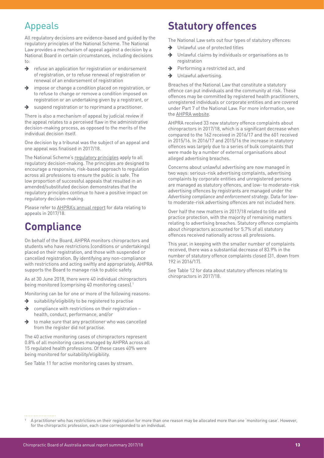### <span id="page-12-0"></span>Appeals

All regulatory decisions are evidence-based and guided by the regulatory principles of the National Scheme. The National Law provides a mechanism of appeal against a decision by a National Board in certain circumstances, including decisions to:

- $\rightarrow$  refuse an application for registration or endorsement of registration, or to refuse renewal of registration or renewal of an endorsement of registration
- $\rightarrow$  impose or change a condition placed on registration, or to refuse to change or remove a condition imposed on registration or an undertaking given by a registrant, or
- $\rightarrow$  suspend registration or to reprimand a practitioner.

There is also a mechanism of appeal by judicial review if the appeal relates to a perceived flaw in the administrative decision-making process, as opposed to the merits of the individual decision itself.

One decision by a tribunal was the subject of an appeal and one appeal was finalised in 2017/18.

The National Scheme's [regulatory principles](https://www.ahpra.gov.au/About-AHPRA/Regulatory-principles.aspx) apply to all regulatory decision-making. The principles are designed to encourage a responsive, risk-based approach to regulation across all professions to ensure the public is safe. The low proportion of successful appeals that resulted in an amended/substituted decision demonstrates that the regulatory principles continue to have a positive impact on regulatory decision-making.

Please refer to [AHPRA's annual report](https://www.ahpra.gov.au/annualreport/2018/) for data relating to appeals in 2017/18.

### **Compliance**

On behalf of the Board, AHPRA monitors chiropractors and students who have restrictions (conditions or undertakings) placed on their registration, and those with suspended or cancelled registration. By identifying any non-compliance with restrictions and acting swiftly and appropriately, AHPRA supports the Board to manage risk to public safety.

As at 30 June 2018, there were 40 individual chiropractors being monitored (comprising 40 monitoring cases).<sup>1</sup>

Monitoring can be for one or more of the following reasons:

- $\rightarrow$  suitability/eligibility to be registered to practise
- $\rightarrow$  compliance with restrictions on their registration health, conduct, performance, and/or
- $\rightarrow$  to make sure that any practitioner who was cancelled from the register did not practise.

The 40 active monitoring cases of chiropractors represent 0.8% of all monitoring cases managed by AHPRA across all 15 regulated health professions. Of these cases 40% were being monitored for suitability/eligibility.

See Table 11 for active monitoring cases by stream.

### **Statutory offences**

The National Law sets out four types of statutory offences:

- $\rightarrow$  Unlawful use of protected titles
- $\rightarrow$  Unlawful claims by individuals or organisations as to registration
- $\rightarrow$  Performing a restricted act, and
- $\rightarrow$  Unlawful advertising.

Breaches of the National Law that constitute a statutory offence can put individuals and the community at risk. These offences may be committed by registered health practitioners, unregistered individuals or corporate entities and are covered under Part 7 of the National Law. For more information, see the [AHPRA website](https://www.ahpra.gov.au/Notifications/Make-a-complaint/What-is-an-offence.aspx).

AHPRA received 33 new statutory offence complaints about chiropractors in 2017/18, which is a significant decrease when compared to the 162 received in 2016/17 and the 601 received in 2015/16. In 2016/17 and 2015/16 the increase in statutory offences was largely due to a series of bulk complaints that were made by a number of external organisations about alleged advertising breaches.

Concerns about unlawful advertising are now managed in two ways: serious-risk advertising complaints, advertising complaints by corporate entities and unregistered persons are managed as statutory offences, and low- to moderate-risk advertising offences by registrants are managed under the *Advertising compliance and enforcement strategy*. Data for lowto moderate-risk advertising offences are not included here.

Over half the new matters in 2017/18 related to title and practice protection, with the majority of remaining matters relating to advertising breaches. Statutory offence complaints about chiropractors accounted for 5.7% of all statutory offences received nationally across all professions.

This year, in keeping with the smaller number of complaints received, there was a substantial decrease of 83.9% in the number of statutory offence complaints closed (31, down from 192 in 2016/17).

See Table 12 for data about statutory offences relating to chiropractors in 2017/18.

<sup>1</sup> A practitioner who has restrictions on their registration for more than one reason may be allocated more than one 'monitoring case'. However, for the chiropractic profession, each case corresponded to an individual.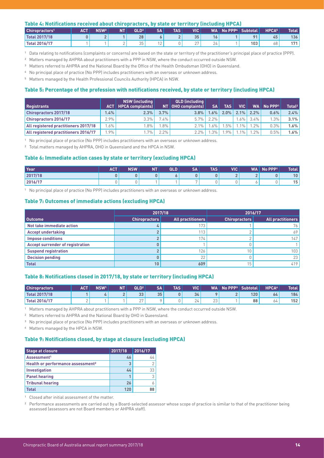#### <span id="page-13-0"></span>Table 4: Notifications received about chiropractors, by state or territory (including HPCA)

| Chiropractors <sup>1</sup> | <b>ACT</b> | <b>NSW<sup>2</sup></b> | NΤ | QLD <sup>3</sup> | <b>SA</b> | <b>TAS</b> | VIC <sup>1</sup>   | WA       | $\blacksquare$ No PPP <sup>4</sup> | <b>Subtotal</b> | <b>HPCA<sup>5</sup></b> | <b>Total</b> |
|----------------------------|------------|------------------------|----|------------------|-----------|------------|--------------------|----------|------------------------------------|-----------------|-------------------------|--------------|
| Total 2017/18              |            |                        |    | 28               |           |            | 35                 | 16       |                                    | 0 <sub>1</sub>  | 45                      | 136          |
| <b>Total 2016/17</b>       |            |                        |    | つに<br>JJ         | ∸         |            | $\sim$ $\sim$<br>∼ | ΄4<br>-- |                                    | 103             | 68                      | 171          |

1 Data relating to notifications (complaints or concerns) are based on the state or territory of the practitioner's principal place of practice (PPP).

2 Matters managed by AHPRA about practitioners with a PPP in NSW, where the conduct occurred outside NSW.

3 Matters referred to AHPRA and the National Board by the Office of the Health Ombudsman (OHO) in Queensland.

- 4 No principal place of practice (No PPP) includes practitioners with an overseas or unknown address.
- 5 Matters managed by the Health Professional Councils Authority (HPCA) in NSW.

#### Table 5: Percentage of the profession with notifications received, by state or territory (including HPCA)

|                                      |             | NSW (including)               |         | QLD (including       |           |            |        |              |                       |                    |
|--------------------------------------|-------------|-------------------------------|---------|----------------------|-----------|------------|--------|--------------|-----------------------|--------------------|
| <b>Registrants</b>                   |             | <b>ACT</b>   HPCA complaints] |         | NT   OHO complaints) | <b>SA</b> | <b>TAS</b> | VIC I  | <b>WA</b>    | $No$ PPP <sup>1</sup> | Total <sup>2</sup> |
| <b>Chiropractors 2017/18</b>         | 1.4% $\mid$ | 2.3%                          | 3.7%    | 3.8%                 | 1.6%      | $2.0\%$    |        | $2.1\%$ 2.2% | 0.6%                  | 2.4%               |
| <b>Chiropractors 2016/17</b>         | 2.9%        | 3.3%                          | $7.4\%$ | 5.7%                 | $2.2\%$   |            | $.6\%$ | $3.4\%$      | $1.3\%$ .             | 3.1%               |
| All registered practitioners 2017/18 | $1.6\%$     | $.8\%$                        | $.8\%$  | 2.1%                 | $6\%$     | .5%        | $.1\%$ | $.2\%$       | 0.3%                  | 1.6%               |
| All registered practitioners 2016/17 | $.9\%$      | $.7\%$                        | $2.2\%$ | $2.2\%$              | $.3\%$    | 9%         | $1\%$  | $1.2\%$      | 0.5%                  | 1.6%               |

1 No principal place of practice (No PPP) includes practitioners with an overseas or unknown address.

<sup>2</sup> Total matters managed by AHPRA, OHO in Queensland and the HPCA in NSW.

#### Table 6: Immediate action cases by state or territory (excluding HPCA)

| l Year  | <b>ACT</b> | <b>NSW</b> | NT' | QLD | <b>SA</b>                | TAS | VIC <b>I</b> | WA | No PPP <sup>1</sup> | <b>Total</b>    |
|---------|------------|------------|-----|-----|--------------------------|-----|--------------|----|---------------------|-----------------|
| 2017/18 |            |            | 0   |     |                          |     |              |    |                     | 10 <sup>°</sup> |
| 2016/17 |            | ີ          |     |     | $\overline{\phantom{a}}$ |     |              |    |                     | 15 <sub>1</sub> |

1 No principal place of practice (No PPP) includes practitioners with an overseas or unknown address.

#### Table 7: Outcomes of immediate actions (excluding HPCA)

|                                         | 2017/18         |                   |                      | 2016/17                  |
|-----------------------------------------|-----------------|-------------------|----------------------|--------------------------|
| Outcome                                 | Chiropractors   | All practitioners | <b>Chiropractors</b> | <b>All practitioners</b> |
| Not take immediate action               |                 | 173               |                      | 76                       |
| <b>Accept undertaking</b>               |                 | 113               |                      | 69                       |
| <b>Impose conditions</b>                |                 | 174.              |                      | 147                      |
| <b>Accept surrender of registration</b> |                 |                   |                      |                          |
| <b>Suspend registration</b>             |                 | 126               | 10                   | 103                      |
| <b>Decision pending</b>                 |                 | 22                |                      | 23                       |
| <b>Total</b>                            | 10 <sub>1</sub> | 609               | 15                   | 419                      |

#### Table 8: Notifications closed in 2017/18, by state or territory (including HPCA)

| <b>Chiropractors</b> | <b>ACT</b> | <b>NSW<sup>1</sup></b> | NΤ | QLD <sup>2</sup>          | <b>SA</b> | <b>TAS</b> | <b>VIC</b>    | <b>WA</b>    | $No$ PPP $3$ | Subtotal | <b>HPCA4</b> | <b>Total</b> |
|----------------------|------------|------------------------|----|---------------------------|-----------|------------|---------------|--------------|--------------|----------|--------------|--------------|
| Total 2017/18        |            |                        |    | 33                        | 35        | 0          | 34            |              |              | 120      | 64           | 184          |
| <b>Total 2016/17</b> |            |                        |    | $\sim$ $\sim$<br><u>_</u> |           |            | ⊥<br><u>.</u> | $\sim$<br>ZΨ |              | 88       | O4           | 152          |

1 Matters managed by AHPRA about practitioners with a PPP in NSW, where the conduct occurred outside NSW.

2 Matters referred to AHPRA and the National Board by OHO in Queensland.

<sup>3</sup> No principal place of practice (No PPP) includes practitioners with an overseas or unknown address.

4 Matters managed by the HPCA in NSW.

#### Table 9: Notifications closed, by stage at closure (excluding HPCA)

| <b>Stage at closure</b>                       | 2017/18 | 2016/17 |
|-----------------------------------------------|---------|---------|
| Assessment <sup>1</sup>                       | 46      | 44      |
| Health or performance assessment <sup>2</sup> | 3       |         |
| Investigation                                 | 44      | 33      |
| <b>Panel hearing</b>                          |         |         |
| <b>Tribunal hearing</b>                       | 26      |         |
| <b>Total</b>                                  | 121     | 88      |

1 Closed after initial assessment of the matter.

<sup>2</sup> Performance assessments are carried out by a Board-selected assessor whose scope of practice is similar to that of the practitioner being assessed (assessors are not Board members or AHPRA staff).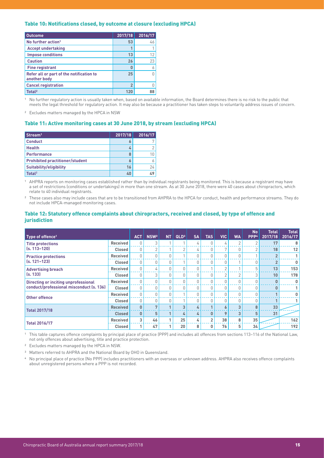#### <span id="page-14-0"></span>Table 10: Notifications closed, by outcome at closure (excluding HPCA)

| <b>Outcome</b>                                           | 2017/18        | 2016/17 |
|----------------------------------------------------------|----------------|---------|
| No further action <sup>1</sup>                           | 53             | 46      |
| <b>Accept undertaking</b>                                |                |         |
| <b>Impose conditions</b>                                 | 13             | 12      |
| <b>Caution</b>                                           | 26             | 23      |
| <b>Fine registrant</b>                                   | 0              |         |
| Refer all or part of the notification to<br>another body | 25             |         |
| <b>Cancel registration</b>                               | $\overline{2}$ |         |
| Total <sup>2</sup>                                       | 120            | 88      |

1 No further regulatory action is usually taken when, based on available information, the Board determines there is no risk to the public that meets the legal threshold for regulatory action. It may also be because a practitioner has taken steps to voluntarily address issues of concern.

2 Excludes matters managed by the HPCA in NSW

#### Table 11: Active monitoring cases at 30 June 2018, by stream (excluding HPCA)

| Stream <sup>1</sup>                    | 2017/18 | 2016/17 |
|----------------------------------------|---------|---------|
| <b>Conduct</b>                         | 6       |         |
| <b>Health</b>                          | 4       | 2       |
| <b>Performance</b>                     | 8       | 1Π.     |
| <b>Prohibited practitioner/student</b> | 6       |         |
| <b>Suitability/eligibility</b>         | 16      | 24      |
| Total <sup>2</sup>                     | ፈበ      | 49      |

1 AHPRA reports on monitoring cases established rather than by individual registrants being monitored. This is because a registrant may have a set of restrictions (conditions or undertakings) in more than one stream. As at 30 June 2018, there were 40 cases about chiropractors, which relate to 40 individual registrants.

<sup>2</sup> These cases also may include cases that are to be transitioned from AHPRA to the HPCA for conduct, health and performance streams. They do not include HPCA-managed monitoring cases.

#### Table 12: Statutory offence complaints about chiropractors, received and closed, by type of offence and jurisdiction

| Type of offence <sup>1</sup>                                                            |                 | <b>ACT</b>   | NSW <sup>2</sup> | <b>NT</b>     | QLD <sup>3</sup> | <b>SA</b> | <b>TAS</b>     | <b>VIC</b>   | <b>WA</b>      | <b>No</b><br>PPP <sup>4</sup> | <b>Total</b><br>2017/18 | <b>Total</b><br>2016/17 |
|-----------------------------------------------------------------------------------------|-----------------|--------------|------------------|---------------|------------------|-----------|----------------|--------------|----------------|-------------------------------|-------------------------|-------------------------|
| <b>Title protections</b><br>$(s, 113 - 120)$                                            | <b>Received</b> | O.           | 3                |               |                  | 4         |                | 4            | $\overline{2}$ | $\sqrt{2}$                    | 17                      | 8                       |
|                                                                                         | <b>Closed</b>   | $\theta$     | 2                |               | n                | 4         |                | $\mathbf{r}$ | 0              |                               | 18                      | 12                      |
| <b>Practice protections</b><br>$(s, 121 - 123)$                                         | <b>Received</b> |              |                  |               |                  |           |                | $\Omega$     | $\Omega$       |                               | $\overline{2}$          | $\mathbf{1}$            |
|                                                                                         | Closed          | $\bigcap$    | U                | O.            |                  |           |                | $\Omega$     |                | U                             | $\overline{2}$          | 0                       |
| <b>Advertising breach</b><br>(s. 133)                                                   | <b>Received</b> |              | 4                | $\Omega$      |                  |           |                | $\Omega$     |                | 5                             | 13                      | 153                     |
|                                                                                         | <b>Closed</b>   | $\Omega$     | 3                | $\cup$        |                  |           | $\Omega$       | 2            | $\overline{2}$ | 3                             | 10                      | 178                     |
| <b>Directing or inciting unprofessional</b><br>conduct/professional misconduct (s. 136) | <b>Received</b> | $\cup$       | $\cap$           | $\cup$        |                  |           |                | $\Omega$     | $\Omega$       |                               | $\Omega$                | $\mathbf 0$             |
|                                                                                         | <b>Closed</b>   | $\Omega$     | U                | <sup>0</sup>  |                  |           |                | $\Omega$     | 0              |                               | $\Omega$                | 1                       |
| <b>Other offence</b>                                                                    | Received        |              |                  |               |                  |           |                | $\Omega$     | $\Omega$       |                               |                         | 0                       |
|                                                                                         | <b>Closed</b>   | $\bigcap$    | U                | 0             |                  |           | U              | $\Omega$     | 0              |                               | $\sqrt{ }$              | 1                       |
| <b>Total 2017/18</b>                                                                    | <b>Received</b> | $\mathbf{0}$ | 7                | $\sqrt{2}$    | 3                | 4         |                | 6            | 3              | 8                             | 33                      |                         |
|                                                                                         | <b>Closed</b>   | $\mathbf{0}$ | 5                |               | 4                | 4         | $\bf{0}$       | 9            | $\overline{3}$ | 5                             | 31                      |                         |
| <b>Total 2016/17</b>                                                                    | <b>Received</b> | 3            | 46               | $\mathcal{A}$ | 25               | 4         | $\overline{2}$ | 38           | 8              | 35                            |                         | 162                     |
|                                                                                         | <b>Closed</b>   |              | 47               |               | 20               | 8         | 0              | 76           | 5              | 34                            |                         | 192                     |

1 This table captures offence complaints by principal place of practice (PPP) and includes all offences from sections 113–116 of the National Law, not only offences about advertising, title and practice protection.

2 Excludes matters managed by the HPCA in NSW.

<sup>3</sup> Matters referred to AHPRA and the National Board by OHO in Queensland.

4 No principal place of practice (No PPP) includes practitioners with an overseas or unknown address. AHPRA also receives offence complaints about unregistered persons where a PPP is not recorded.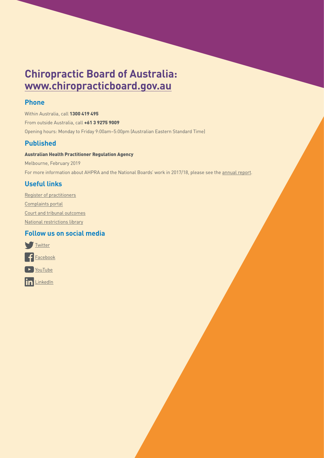### **Chiropractic Board of Australia: [www.chiropracticboard.gov.au](http://www.chiropracticboard.gov.au)**

#### **Phone**

Within Australia, call 1300 419 495 From outside Australia, call +61 3 9275 9009 Opening hours: Monday to Friday 9:00am–5:00pm (Australian Eastern Standard Time)

#### **Published**

#### Australian Health Practitioner Regulation Agency

Melbourne, February 2019 For more information about AHPRA and the National Boards' work in 2017/18, please see the [annual report](http://www.ahpra.gov.au/annualreport/2018).

#### **Useful links**

[Register of practitioners](http://www.ahpra.gov.au/registration/registers-of-practitioners) [Complaints portal](http://www.ahpra.gov.au/about-ahpra/complaints) [Court and tribunal outcomes](http://www.ahpra.gov.au/Publications/Tribunal-Decisions) [National restrictions library](http://www.ahpra.gov.au/registration/monitoring-and-compliance/national-restrictions-library)

#### **Follow us on social media**



in [LinkedIn](https://au.linkedin.com/company/australian-health-practitioner-regulation-agency)